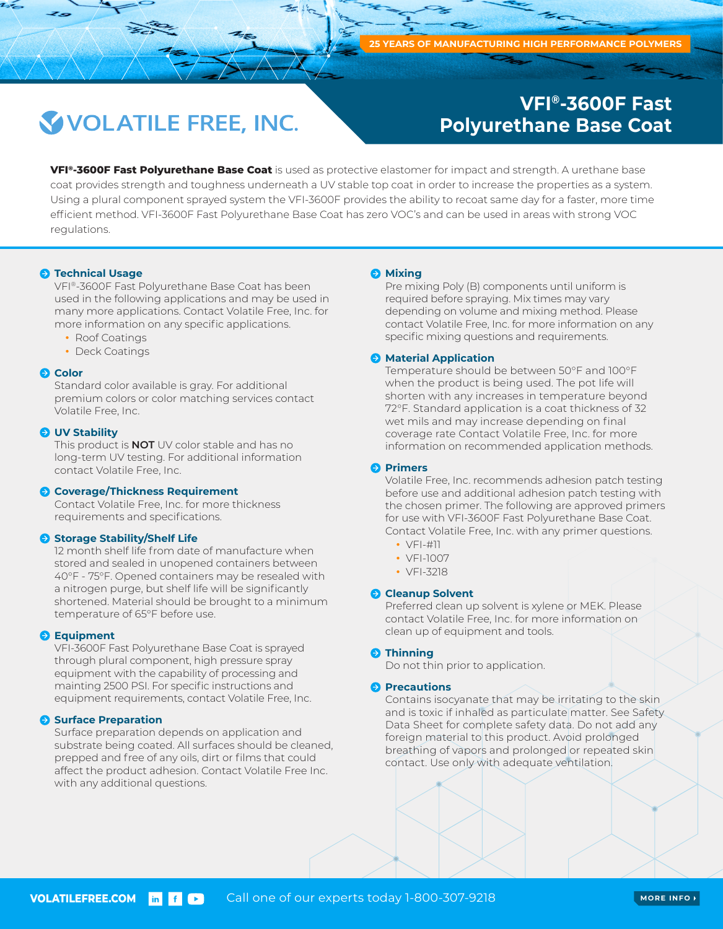## **VOLATILE FREE, INC.**

### **VFI®-3600F Fast Polyurethane Base Coat**

**VFI®-3600F Fast Polyurethane Base Coat** is used as protective elastomer for impact and strength. A urethane base coat provides strength and toughness underneath a UV stable top coat in order to increase the properties as a system. Using a plural component sprayed system the VFI-3600F provides the ability to recoat same day for a faster, more time efficient method. VFI-3600F Fast Polyurethane Base Coat has zero VOC's and can be used in areas with strong VOC regulations.

#### $\bullet$  **Technical Usage**

VFI®-3600F Fast Polyurethane Base Coat has been used in the following applications and may be used in many more applications. Contact Volatile Free, Inc. for more information on any specific applications.

- Roof Coatings
- Deck Coatings

#### **Q** Color

Standard color available is gray. For additional premium colors or color matching services contact Volatile Free, Inc.

#### **O** UV Stability

This product is **NOT** UV color stable and has no long-term UV testing. For additional information contact Volatile Free, Inc.

#### **Coverage/Thickness Requirement**

Contact Volatile Free, Inc. for more thickness requirements and specifications.

#### **Storage Stability/Shelf Life**

12 month shelf life from date of manufacture when stored and sealed in unopened containers between 40°F - 75°F. Opened containers may be resealed with a nitrogen purge, but shelf life will be significantly shortened. Material should be brought to a minimum temperature of 65°F before use.

#### **Equipment**

VFI-3600F Fast Polyurethane Base Coat is sprayed through plural component, high pressure spray equipment with the capability of processing and mainting 2500 PSI. For specific instructions and equipment requirements, contact Volatile Free, Inc.

#### **Surface Preparation**

Surface preparation depends on application and substrate being coated. All surfaces should be cleaned, prepped and free of any oils, dirt or films that could affect the product adhesion. Contact Volatile Free Inc. with any additional questions.

#### **Mixing**

Pre mixing Poly (B) components until uniform is required before spraying. Mix times may vary depending on volume and mixing method. Please contact Volatile Free, Inc. for more information on any specific mixing questions and requirements.

#### **A** Material Application

Temperature should be between 50°F and 100°F when the product is being used. The pot life will shorten with any increases in temperature beyond 72°F. Standard application is a coat thickness of 32 wet mils and may increase depending on final coverage rate Contact Volatile Free, Inc. for more information on recommended application methods.

#### **Primers**

Volatile Free, Inc. recommends adhesion patch testing before use and additional adhesion patch testing with the chosen primer. The following are approved primers for use with VFI-3600F Fast Polyurethane Base Coat. Contact Volatile Free, Inc. with any primer questions.

- VFI-#11
- VFI-1007
- VFI-3218

#### **Cleanup Solvent**

Preferred clean up solvent is xylene or MEK. Please contact Volatile Free, Inc. for more information on clean up of equipment and tools.

#### $\Theta$  Thinning

Do not thin prior to application.

#### **Precautions**

Contains isocyanate that may be irritating to the skin and is toxic if inhaled as particulate matter. See Safety Data Sheet for complete safety data. Do not add any foreign material to this product. Avoid prolonged breathing of vapors and prolonged or repeated skin contact. Use only with adequate ventilation.